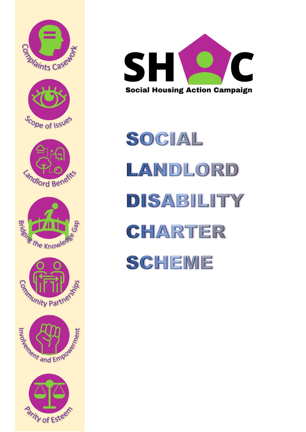



SOCIAL LANDLORD DISABILITY CHARTER **SCHEME**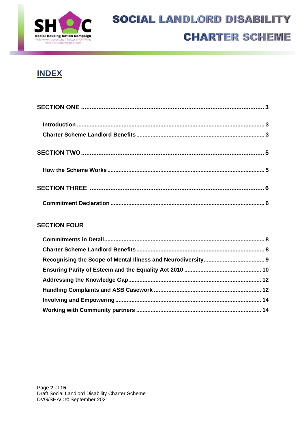

## **INDEX**

#### **SECTION FOUR**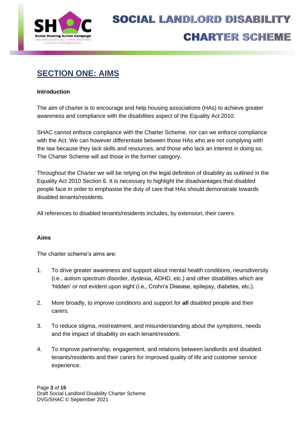

# **SECTION ONE: AIMS**

#### **Introduction**

The aim of charter is to encourage and help housing associations (HAs) to achieve greater awareness and compliance with the disabilities aspect of the Equality Act 2010.

SHAC cannot enforce compliance with the Charter Scheme, nor can we enforce compliance with the Act. We can however differentiate between those HAs who are not complying with the law because they lack skills and resources, and those who lack an interest in doing so. The Charter Scheme will aid those in the former category.

Throughout the Charter we will be relying on the legal definition of disability as outlined in the Equality Act 2010 Section 6. It is necessary to highlight the disadvantages that disabled people face in order to emphasise the duty of care that HAs should demonstrate towards disabled tenants/residents.

All references to disabled tenants/residents includes, by extension, their carers.

#### **Aims**

The charter scheme's aims are:

- 1. To drive greater awareness and support about mental health conditions, neurodiversity (i.e., autism spectrum disorder, dyslexia, ADHD, etc.) and other disabilities which are 'hidden' or not evident upon sight (i.e., Crohn's Disease, epilepsy, diabetes, etc.).
- 2. More broadly, to improve conditions and support for **all** disabled people and their carers.
- 3. To reduce stigma, mistreatment, and misunderstanding about the symptoms, needs and the impact of disability on each tenant/resident.
- 4. To improve partnership, engagement, and relations between landlords and disabled tenants/residents and their carers for improved quality of life and customer service experience.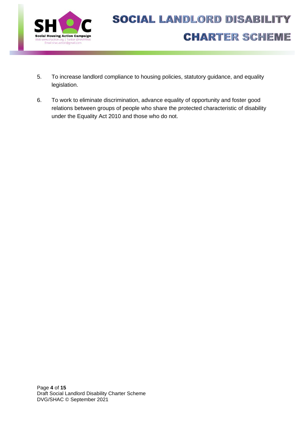

- 5. To increase landlord compliance to housing policies, statutory guidance, and equality legislation.
- 6. To work to eliminate discrimination, advance equality of opportunity and foster good relations between groups of people who share the protected characteristic of disability under the Equality Act 2010 and those who do not.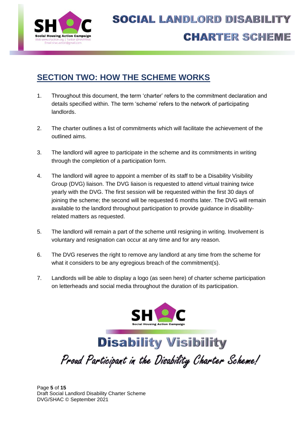

## **SECTION TWO: HOW THE SCHEME WORKS**

- 1. Throughout this document, the term 'charter' refers to the commitment declaration and details specified within. The term 'scheme' refers to the network of participating landlords.
- 2. The charter outlines a list of commitments which will facilitate the achievement of the outlined aims.
- 3. The landlord will agree to participate in the scheme and its commitments in writing through the completion of a participation form.
- 4. The landlord will agree to appoint a member of its staff to be a Disability Visibility Group (DVG) liaison. The DVG liaison is requested to attend virtual training twice yearly with the DVG. The first session will be requested within the first 30 days of joining the scheme; the second will be requested 6 months later. The DVG will remain available to the landlord throughout participation to provide guidance in disabilityrelated matters as requested.
- 5. The landlord will remain a part of the scheme until resigning in writing. Involvement is voluntary and resignation can occur at any time and for any reason.
- 6. The DVG reserves the right to remove any landlord at any time from the scheme for what it considers to be any egregious breach of the commitment(s).
- 7. Landlords will be able to display a logo (as seen here) of charter scheme participation on letterheads and social media throughout the duration of its participation.





Page **5** of **15** Draft Social Landlord Disability Charter Scheme DVG/SHAC © September 2021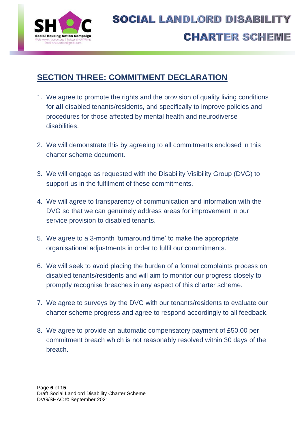

## **SECTION THREE: COMMITMENT DECLARATION**

- 1. We agree to promote the rights and the provision of quality living conditions for **all** disabled tenants/residents, and specifically to improve policies and procedures for those affected by mental health and neurodiverse **disabilities**
- 2. We will demonstrate this by agreeing to all commitments enclosed in this charter scheme document.
- 3. We will engage as requested with the Disability Visibility Group (DVG) to support us in the fulfilment of these commitments.
- 4. We will agree to transparency of communication and information with the DVG so that we can genuinely address areas for improvement in our service provision to disabled tenants.
- 5. We agree to a 3-month 'turnaround time' to make the appropriate organisational adjustments in order to fulfil our commitments.
- 6. We will seek to avoid placing the burden of a formal complaints process on disabled tenants/residents and will aim to monitor our progress closely to promptly recognise breaches in any aspect of this charter scheme.
- 7. We agree to surveys by the DVG with our tenants/residents to evaluate our charter scheme progress and agree to respond accordingly to all feedback.
- 8. We agree to provide an automatic compensatory payment of £50.00 per commitment breach which is not reasonably resolved within 30 days of the breach.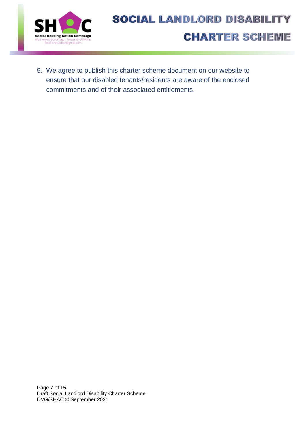

9. We agree to publish this charter scheme document on our website to ensure that our disabled tenants/residents are aware of the enclosed commitments and of their associated entitlements.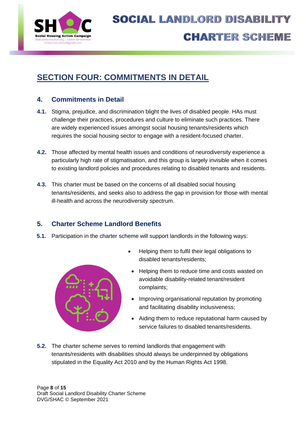

# **SECTION FOUR: COMMITMENTS IN DETAIL**

### **4. Commitments in Detail**

- **4.1.** Stigma, prejudice, and discrimination blight the lives of disabled people. HAs must challenge their practices, procedures and culture to eliminate such practices. There are widely experienced issues amongst social housing tenants/residents which requires the social housing sector to engage with a resident-focused charter.
- **4.2.** Those affected by mental health issues and conditions of neurodiversity experience a particularly high rate of stigmatisation, and this group is largely invisible when it comes to existing landlord policies and procedures relating to disabled tenants and residents.
- **4.3.** This charter must be based on the concerns of all disabled social housing tenants/residents, and seeks also to address the gap in provision for those with mental ill-health and across the neurodiversity spectrum.

### **5. Charter Scheme Landlord Benefits**

**5.1.** Participation in the charter scheme will support landlords in the following ways:



- Helping them to fulfil their legal obligations to disabled tenants/residents;
- Helping them to reduce time and costs wasted on avoidable disability-related tenant/resident complaints;
- Improving organisational reputation by promoting and facilitating disability inclusiveness;
- Aiding them to reduce reputational harm caused by service failures to disabled tenants/residents.
- **5.2.** The charter scheme serves to remind landlords that engagement with tenants/residents with disabilities should always be underpinned by obligations stipulated in the Equality Act 2010 and by the Human Rights Act 1998.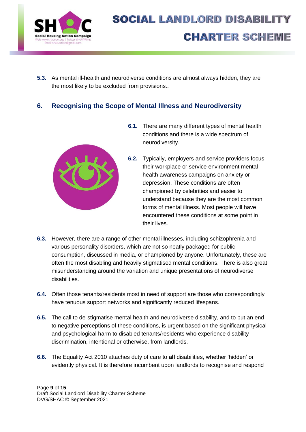

**5.3.** As mental ill-health and neurodiverse conditions are almost always hidden, they are the most likely to be excluded from provisions..

### **6. Recognising the Scope of Mental Illness and Neurodiversity**



- **6.1.** There are many different types of mental health conditions and there is a wide spectrum of neurodiversity.
- **6.2.** Typically, employers and service providers focus their workplace or service environment mental health awareness campaigns on anxiety or depression. These conditions are often championed by celebrities and easier to understand because they are the most common forms of mental illness. Most people will have encountered these conditions at some point in their lives.
- **6.3.** However, there are a range of other mental illnesses, including schizophrenia and various personality disorders, which are not so neatly packaged for public consumption, discussed in media, or championed by anyone. Unfortunately, these are often the most disabling and heavily stigmatised mental conditions. There is also great misunderstanding around the variation and unique presentations of neurodiverse disabilities.
- **6.4.** Often those tenants/residents most in need of support are those who correspondingly have tenuous support networks and significantly reduced lifespans.
- **6.5.** The call to de-stigmatise mental health and neurodiverse disability, and to put an end to negative perceptions of these conditions, is urgent based on the significant physical and psychological harm to disabled tenants/residents who experience disability discrimination, intentional or otherwise, from landlords.
- **6.6.** The Equality Act 2010 attaches duty of care to **all** disabilities, whether 'hidden' or evidently physical. It is therefore incumbent upon landlords to recognise and respond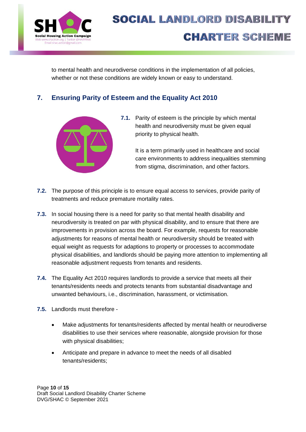

to mental health and neurodiverse conditions in the implementation of all policies, whether or not these conditions are widely known or easy to understand.

### **7. Ensuring Parity of Esteem and the Equality Act 2010**



**7.1.** Parity of esteem is the principle by which mental health and neurodiversity must be given equal priority to physical health.

> It is a term primarily used in healthcare and social care environments to address inequalities stemming from stigma, discrimination, and other factors.

- **7.2.** The purpose of this principle is to ensure equal access to services, provide parity of treatments and reduce premature mortality rates.
- **7.3.** In social housing there is a need for parity so that mental health disability and neurodiversity is treated on par with physical disability, and to ensure that there are improvements in provision across the board. For example, requests for reasonable adjustments for reasons of mental health or neurodiversity should be treated with equal weight as requests for adaptions to property or processes to accommodate physical disabilities, and landlords should be paying more attention to implementing all reasonable adjustment requests from tenants and residents.
- **7.4.** The Equality Act 2010 requires landlords to provide a service that meets all their tenants/residents needs and protects tenants from substantial disadvantage and unwanted behaviours, i.e., discrimination, harassment, or victimisation.
- **7.5.** Landlords must therefore
	- Make adjustments for tenants/residents affected by mental health or neurodiverse disabilities to use their services where reasonable, alongside provision for those with physical disabilities;
	- Anticipate and prepare in advance to meet the needs of all disabled tenants/residents;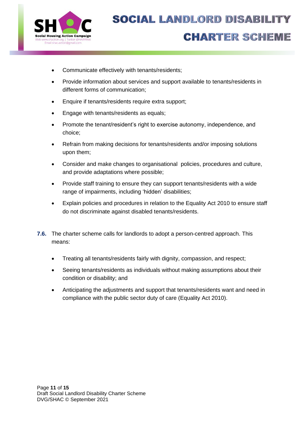

- Communicate effectively with tenants/residents;
- Provide information about services and support available to tenants/residents in different forms of communication;
- Enquire if tenants/residents require extra support;
- Engage with tenants/residents as equals;
- Promote the tenant/resident's right to exercise autonomy, independence, and choice;
- Refrain from making decisions for tenants/residents and/or imposing solutions upon them;
- Consider and make changes to organisational policies, procedures and culture, and provide adaptations where possible;
- Provide staff training to ensure they can support tenants/residents with a wide range of impairments, including 'hidden' disabilities;
- Explain policies and procedures in relation to the Equality Act 2010 to ensure staff do not discriminate against disabled tenants/residents.
- **7.6.** The charter scheme calls for landlords to adopt a person-centred approach. This means:
	- Treating all tenants/residents fairly with dignity, compassion, and respect;
	- Seeing tenants/residents as individuals without making assumptions about their condition or disability; and
	- Anticipating the adjustments and support that tenants/residents want and need in compliance with the public sector duty of care (Equality Act 2010).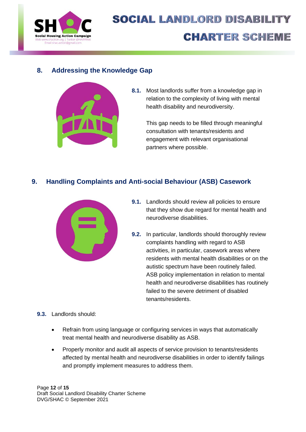

#### **8. Addressing the Knowledge Gap**



**8.1.** Most landlords suffer from a knowledge gap in relation to the complexity of living with mental health disability and neurodiversity.

> This gap needs to be filled through meaningful consultation with tenants/residents and engagement with relevant organisational partners where possible.

### **9. Handling Complaints and Anti-social Behaviour (ASB) Casework**



- **9.1.** Landlords should review all policies to ensure that they show due regard for mental health and neurodiverse disabilities.
- **9.2.** In particular, landlords should thoroughly review complaints handling with regard to ASB activities, in particular, casework areas where residents with mental health disabilities or on the autistic spectrum have been routinely failed. ASB policy implementation in relation to mental health and neurodiverse disabilities has routinely failed to the severe detriment of disabled tenants/residents.

#### **9.3.** Landlords should:

- Refrain from using language or configuring services in ways that automatically treat mental health and neurodiverse disability as ASB.
- Properly monitor and audit all aspects of service provision to tenants/residents affected by mental health and neurodiverse disabilities in order to identify failings and promptly implement measures to address them.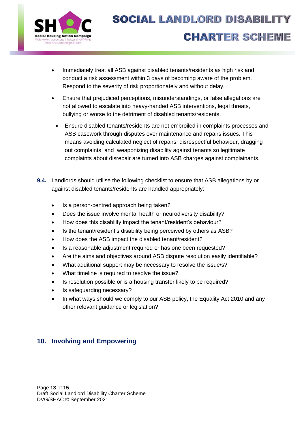

- Immediately treat all ASB against disabled tenants/residents as high risk and conduct a risk assessment within 3 days of becoming aware of the problem. Respond to the severity of risk proportionately and without delay.
- Ensure that prejudiced perceptions, misunderstandings, or false allegations are not allowed to escalate into heavy-handed ASB interventions, legal threats, bullying or worse to the detriment of disabled tenants/residents.
	- Ensure disabled tenants/residents are not embroiled in complaints processes and ASB casework through disputes over maintenance and repairs issues. This means avoiding calculated neglect of repairs, disrespectful behaviour, dragging out complaints, and weaponizing disability against tenants so legitimate complaints about disrepair are turned into ASB charges against complainants.
- **9.4.** Landlords should utilise the following checklist to ensure that ASB allegations by or against disabled tenants/residents are handled appropriately:
	- Is a person-centred approach being taken?
	- Does the issue involve mental health or neurodiversity disability?
	- How does this disability impact the tenant/resident's behaviour?
	- Is the tenant/resident's disability being perceived by others as ASB?
	- How does the ASB impact the disabled tenant/resident?
	- Is a reasonable adjustment required or has one been requested?
	- Are the aims and objectives around ASB dispute resolution easily identifiable?
	- What additional support may be necessary to resolve the issue/s?
	- What timeline is required to resolve the issue?
	- Is resolution possible or is a housing transfer likely to be required?
	- Is safeguarding necessary?
	- In what ways should we comply to our ASB policy, the Equality Act 2010 and any other relevant guidance or legislation?

### **10. Involving and Empowering**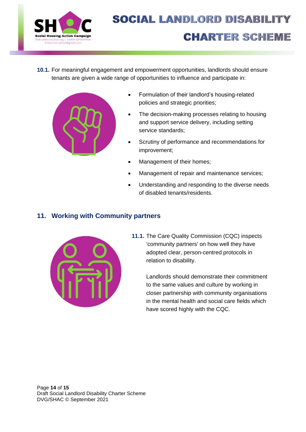

**10.1.** For meaningful engagement and empowerment opportunities, landlords should ensure tenants are given a wide range of opportunities to influence and participate in:



- Formulation of their landlord's housing-related policies and strategic priorities;
- The decision-making processes relating to housing and support service delivery, including setting service standards;
- Scrutiny of performance and recommendations for improvement;
- Management of their homes;
- Management of repair and maintenance services;
- Understanding and responding to the diverse needs of disabled tenants/residents.

### **11. Working with Community partners**



**11.1.** The Care Quality Commission (CQC) inspects 'community partners' on how well they have adopted clear, person-centred protocols in relation to disability.

> Landlords should demonstrate their commitment to the same values and culture by working in closer partnership with community organisations in the mental health and social care fields which have scored highly with the CQC.